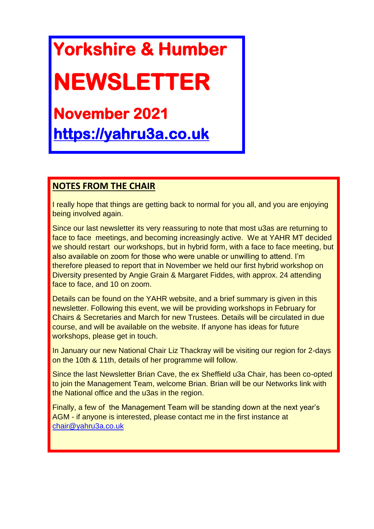# **Yorkshire & Humber**

# **NEWSLETTER**

## **November 2021 [https://yahru3a.co.uk](https://yahru3a.co.uk/)**

#### **NOTES FROM THE CHAIR**

I really hope that things are getting back to normal for you all, and you are enjoying being involved again.

Since our last newsletter its very reassuring to note that most u3as are returning to face to face meetings, and becoming increasingly active. We at YAHR MT decided we should restart our workshops, but in hybrid form, with a face to face meeting, but also available on zoom for those who were unable or unwilling to attend. I'm therefore pleased to report that in November we held our first hybrid workshop on Diversity presented by Angie Grain & Margaret Fiddes, with approx. 24 attending face to face, and 10 on zoom.

Details can be found on the YAHR website, and a brief summary is given in this newsletter. Following this event, we will be providing workshops in February for Chairs & Secretaries and March for new Trustees. Details will be circulated in due course, and will be available on the website. If anyone has ideas for future workshops, please get in touch.

In January our new National Chair Liz Thackray will be visiting our region for 2-days on the 10th & 11th, details of her programme will follow.

Since the last Newsletter Brian Cave, the ex Sheffield u3a Chair, has been co-opted to join the Management Team, welcome Brian. Brian will be our Networks link with the National office and the u3as in the region.

Finally, a few of the Management Team will be standing down at the next year's AGM - if anyone is interested, please contact me in the first instance at [chair@yahru3a.co.uk](mailto:chair@yahru3a.co.uk)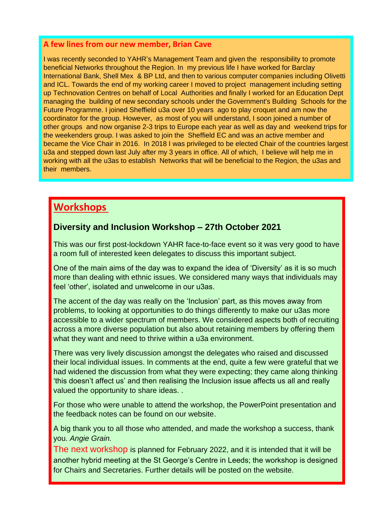#### **A few lines from our new member, Brian Cave**

I was recently seconded to YAHR's Management Team and given the responsibility to promote beneficial Networks throughout the Region. In my previous life I have worked for Barclay International Bank, Shell Mex & BP Ltd, and then to various computer companies including Olivetti and ICL. Towards the end of my working career I moved to project management including setting up Technovation Centres on behalf of Local Authorities and finally I worked for an Education Dept managing the building of new secondary schools under the Government's Building Schools for the Future Programme. I joined Sheffield u3a over 10 years ago to play croquet and am now the coordinator for the group. However, as most of you will understand, I soon joined a number of other groups and now organise 2-3 trips to Europe each year as well as day and weekend trips for the weekenders group. I was asked to join the Sheffield EC and was an active member and became the Vice Chair in 2016. In 2018 I was privileged to be elected Chair of the countries largest u3a and stepped down last July after my 3 years in office. All of which, I believe will help me in working with all the u3as to establish Networks that will be beneficial to the Region, the u3as and their members.

### **Workshops**

#### **Diversity and Inclusion Workshop – 27th October 2021**

This was our first post-lockdown YAHR face-to-face event so it was very good to have a room full of interested keen delegates to discuss this important subject.

One of the main aims of the day was to expand the idea of 'Diversity' as it is so much more than dealing with ethnic issues. We considered many ways that individuals may feel 'other', isolated and unwelcome in our u3as.

The accent of the day was really on the 'Inclusion' part, as this moves away from problems, to looking at opportunities to do things differently to make our u3as more accessible to a wider spectrum of members. We considered aspects both of recruiting across a more diverse population but also about retaining members by offering them what they want and need to thrive within a u3a environment.

There was very lively discussion amongst the delegates who raised and discussed their local individual issues. In comments at the end, quite a few were grateful that we had widened the discussion from what they were expecting; they came along thinking 'this doesn't affect us' and then realising the Inclusion issue affects us all and really valued the opportunity to share ideas. .

For those who were unable to attend the workshop, the PowerPoint presentation and the feedback notes can be found on our website.

A big thank you to all those who attended, and made the workshop a success, thank you. *Angie Grain.*

The next workshop is planned for February 2022, and it is intended that it will be another hybrid meeting at the St George's Centre in Leeds; the workshop is designed for Chairs and Secretaries. Further details will be posted on the website.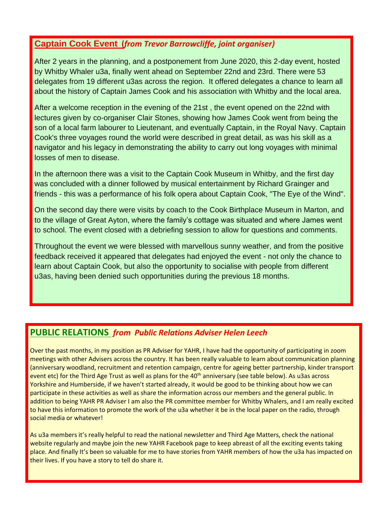#### **Captain Cook Event (***from Trevor Barrowcliffe, joint organiser)*

After 2 years in the planning, and a postponement from June 2020, this 2-day event, hosted by Whitby Whaler u3a, finally went ahead on September 22nd and 23rd. There were 53 delegates from 19 different u3as across the region. It offered delegates a chance to learn all about the history of Captain James Cook and his association with Whitby and the local area.

After a welcome reception in the evening of the 21st , the event opened on the 22nd with lectures given by co-organiser Clair Stones, showing how James Cook went from being the son of a local farm labourer to Lieutenant, and eventually Captain, in the Royal Navy. Captain Cook's three voyages round the world were described in great detail, as was his skill as a navigator and his legacy in demonstrating the ability to carry out long voyages with minimal losses of men to disease.

In the afternoon there was a visit to the Captain Cook Museum in Whitby, and the first day was concluded with a dinner followed by musical entertainment by Richard Grainger and friends - this was a performance of his folk opera about Captain Cook, "The Eye of the Wind".

On the second day there were visits by coach to the Cook Birthplace Museum in Marton, and to the village of Great Ayton, where the family's cottage was situated and where James went to school. The event closed with a debriefing session to allow for questions and comments.

Throughout the event we were blessed with marvellous sunny weather, and from the positive feedback received it appeared that delegates had enjoyed the event - not only the chance to learn about Captain Cook, but also the opportunity to socialise with people from different u3as, having been denied such opportunities during the previous 18 months.

#### **PUBLIC RELATIONS** *from Public Relations Adviser Helen Leech*

Over the past months, in my position as PR Adviser for YAHR, I have had the opportunity of participating in zoom meetings with other Advisers across the country. It has been really valuable to learn about communication planning (anniversary woodland, recruitment and retention campaign, centre for ageing better partnership, kinder transport event etc) for the Third Age Trust as well as plans for the 40<sup>th</sup> anniversary (see table below). As u3as across Yorkshire and Humberside, if we haven't started already, it would be good to be thinking about how we can participate in these activities as well as share the information across our members and the general public. In addition to being YAHR PR Adviser I am also the PR committee member for Whitby Whalers, and I am really excited to have this information to promote the work of the u3a whether it be in the local paper on the radio, through social media or whatever!

As u3a members it's really helpful to read the national newsletter and Third Age Matters, check the national website regularly and maybe join the new YAHR Facebook page to keep abreast of all the exciting events taking place. And finally It's been so valuable for me to have stories from YAHR members of how the u3a has impacted on their lives. If you have a story to tell do share it.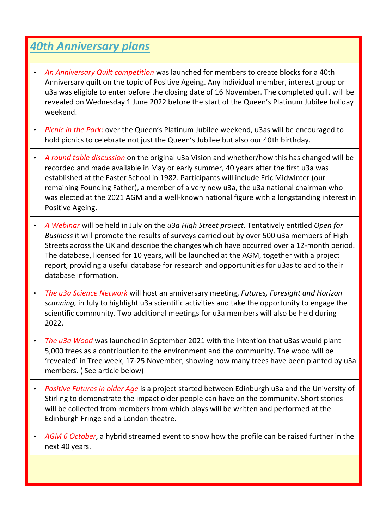### *40th Anniversary plans*

- *An Anniversary Quilt competition* was launched for members to create blocks for a 40th Anniversary quilt on the topic of Positive Ageing. Any individual member, interest group or u3a was eligible to enter before the closing date of 16 November. The completed quilt will be revealed on Wednesday 1 June 2022 before the start of the Queen's Platinum Jubilee holiday weekend.
- *Picnic in the Park*: over the Queen's Platinum Jubilee weekend, u3as will be encouraged to hold picnics to celebrate not just the Queen's Jubilee but also our 40th birthday.
- *A round table discussion* on the original u3a Vision and whether/how this has changed will be recorded and made available in May or early summer, 40 years after the first u3a was established at the Easter School in 1982. Participants will include Eric Midwinter (our remaining Founding Father), a member of a very new u3a, the u3a national chairman who was elected at the 2021 AGM and a well-known national figure with a longstanding interest in Positive Ageing.
- *A Webinar* will be held in July on the *u3a High Street project*. Tentatively entitled *Open for Business* it will promote the results of surveys carried out by over 500 u3a members of High Streets across the UK and describe the changes which have occurred over a 12-month period. The database, licensed for 10 years, will be launched at the AGM, together with a project report, providing a useful database for research and opportunities for u3as to add to their database information.
- *The u3a Science Network* will host an anniversary meeting, *Futures, Foresight and Horizon scanning,* in July to highlight u3a scientific activities and take the opportunity to engage the scientific community. Two additional meetings for u3a members will also be held during 2022.
- *The u3a Wood* was launched in September 2021 with the intention that u3as would plant 5,000 trees as a contribution to the environment and the community. The wood will be 'revealed' in Tree week, 17-25 November, showing how many trees have been planted by u3a members. ( See article below)
- *Positive Futures in older Age* is a project started between Edinburgh u3a and the University of Stirling to demonstrate the impact older people can have on the community. Short stories will be collected from members from which plays will be written and performed at the Edinburgh Fringe and a London theatre.
- *AGM 6 October*, a hybrid streamed event to show how the profile can be raised further in the next 40 years.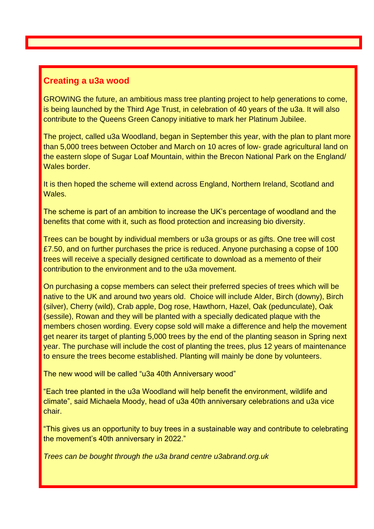#### **Creating a u3a wood**

GROWING the future, an ambitious mass tree planting project to help generations to come, is being launched by the Third Age Trust, in celebration of 40 years of the u3a. It will also contribute to the Queens Green Canopy initiative to mark her Platinum Jubilee.

The project, called u3a Woodland, began in September this year, with the plan to plant more than 5,000 trees between October and March on 10 acres of low- grade agricultural land on the eastern slope of Sugar Loaf Mountain, within the Brecon National Park on the England/ Wales border.

It is then hoped the scheme will extend across England, Northern Ireland, Scotland and Wales.

The scheme is part of an ambition to increase the UK's percentage of woodland and the benefits that come with it, such as flood protection and increasing bio diversity.

Trees can be bought by individual members or u3a groups or as gifts. One tree will cost £7.50, and on further purchases the price is reduced. Anyone purchasing a copse of 100 trees will receive a specially designed certificate to download as a memento of their contribution to the environment and to the u3a movement.

On purchasing a copse members can select their preferred species of trees which will be native to the UK and around two years old. Choice will include Alder, Birch (downy), Birch (silver), Cherry (wild), Crab apple, Dog rose, Hawthorn, Hazel, Oak (pedunculate), Oak (sessile), Rowan and they will be planted with a specially dedicated plaque with the members chosen wording. Every copse sold will make a difference and help the movement get nearer its target of planting 5,000 trees by the end of the planting season in Spring next year. The purchase will include the cost of planting the trees, plus 12 years of maintenance to ensure the trees become established. Planting will mainly be done by volunteers.

The new wood will be called "u3a 40th Anniversary wood"

"Each tree planted in the u3a Woodland will help benefit the environment, wildlife and climate", said Michaela Moody, head of u3a 40th anniversary celebrations and u3a vice chair.

"This gives us an opportunity to buy trees in a sustainable way and contribute to celebrating the movement's 40th anniversary in 2022."

*Trees can be bought through the u3a brand centre u3abrand.org.uk*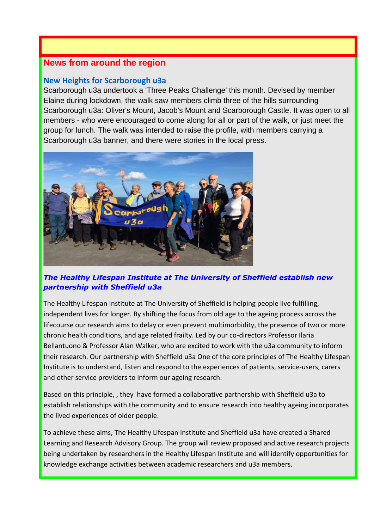#### **News from around the region**

#### **New Heights for Scarborough u3a**

Scarborough u3a undertook a 'Three Peaks Challenge' this month. Devised by member Elaine during lockdown, the walk saw members climb three of the hills surrounding Scarborough u3a: Oliver's Mount, Jacob's Mount and Scarborough Castle. It was open to all members - who were encouraged to come along for all or part of the walk, or just meet the group for lunch. The walk was intended to raise the profile, with members carrying a Scarborough u3a banner, and there were stories in the local press.



#### *The Healthy Lifespan Institute at The University of Sheffield establish new partnership with Sheffield u3a*

The Healthy Lifespan Institute at The University of Sheffield is helping people live fulfilling, independent lives for longer. By shifting the focus from old age to the ageing process across the lifecourse our research aims to delay or even prevent multimorbidity, the presence of two or more chronic health conditions, and age related frailty. Led by our co-directors Professor Ilaria Bellantuono & Professor Alan Walker, who are excited to work with the u3a community to inform their research. Our partnership with Sheffield u3a One of the core principles of The Healthy Lifespan Institute is to understand, listen and respond to the experiences of patients, service-users, carers and other service providers to inform our ageing research.

Based on this principle, , they have formed a collaborative partnership with Sheffield u3a to establish relationships with the community and to ensure research into healthy ageing incorporates the lived experiences of older people.

To achieve these aims, The Healthy Lifespan Institute and Sheffield u3a have created a Shared Learning and Research Advisory Group. The group will review proposed and active research projects being undertaken by researchers in the Healthy Lifespan Institute and will identify opportunities for knowledge exchange activities between academic researchers and u3a members.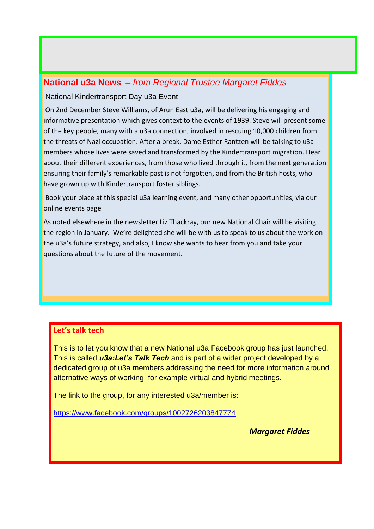#### **National u3a News –** *from Regional Trustee Margaret Fiddes*

#### National Kindertransport Day u3a Event

On 2nd December Steve Williams, of Arun East u3a, will be delivering his engaging and informative presentation which gives context to the events of 1939. Steve will present some of the key people, many with a u3a connection, involved in rescuing 10,000 children from the threats of Nazi occupation. After a break, Dame Esther Rantzen will be talking to u3a members whose lives were saved and transformed by the Kindertransport migration. Hear about their different experiences, from those who lived through it, from the next generation ensuring their family's remarkable past is not forgotten, and from the British hosts, who have grown up with Kindertransport foster siblings.

Book your place at this special u3a learning event, and many other opportunities, via our online events page

As noted elsewhere in the newsletter Liz Thackray, our new National Chair will be visiting the region in January. We're delighted she will be with us to speak to us about the work on the u3a's future strategy, and also, I know she wants to hear from you and take your questions about the future of the movement.

#### **Let's talk tech**

This is to let you know that a new National u3a Facebook group has just launched. This is called *u3a:Let's Talk Tech* and is part of a wider project developed by a dedicated group of u3a members addressing the need for more information around alternative ways of working, for example virtual and hybrid meetings.

The link to the group, for any interested u3a/member is:

<https://www.facebook.com/groups/1002726203847774>

*Margaret Fiddes*